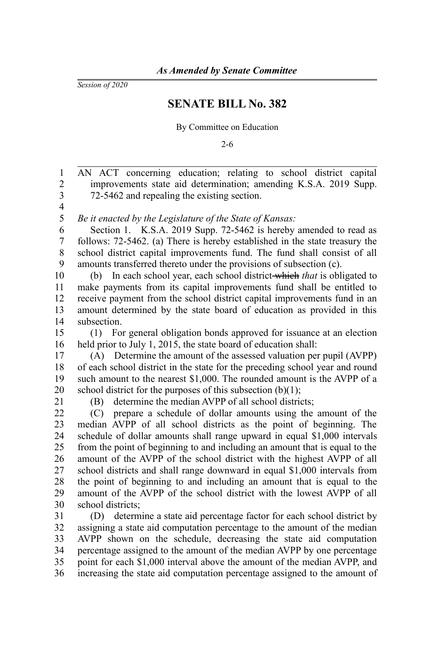*Session of 2020*

## **SENATE BILL No. 382**

By Committee on Education

2-6

AN ACT concerning education; relating to school district capital improvements state aid determination; amending K.S.A. 2019 Supp. 72-5462 and repealing the existing section. *Be it enacted by the Legislature of the State of Kansas:* Section 1. K.S.A. 2019 Supp. 72-5462 is hereby amended to read as follows: 72-5462. (a) There is hereby established in the state treasury the school district capital improvements fund. The fund shall consist of all amounts transferred thereto under the provisions of subsection (c). (b) In each school year, each school district which *that* is obligated to make payments from its capital improvements fund shall be entitled to receive payment from the school district capital improvements fund in an amount determined by the state board of education as provided in this subsection. (1) For general obligation bonds approved for issuance at an election held prior to July 1, 2015, the state board of education shall: (A) Determine the amount of the assessed valuation per pupil (AVPP) of each school district in the state for the preceding school year and round such amount to the nearest \$1,000. The rounded amount is the AVPP of a school district for the purposes of this subsection  $(b)(1)$ ; (B) determine the median AVPP of all school districts; (C) prepare a schedule of dollar amounts using the amount of the median AVPP of all school districts as the point of beginning. The schedule of dollar amounts shall range upward in equal \$1,000 intervals from the point of beginning to and including an amount that is equal to the amount of the AVPP of the school district with the highest AVPP of all school districts and shall range downward in equal \$1,000 intervals from the point of beginning to and including an amount that is equal to the amount of the AVPP of the school district with the lowest AVPP of all school districts; (D) determine a state aid percentage factor for each school district by assigning a state aid computation percentage to the amount of the median AVPP shown on the schedule, decreasing the state aid computation percentage assigned to the amount of the median AVPP by one percentage point for each \$1,000 interval above the amount of the median AVPP, and increasing the state aid computation percentage assigned to the amount of 1 2 3 4 5 6 7 8 9 10 11 12 13 14 15 16 17 18 19 20 21 22 23 24 25 26 27 28  $29$ 30 31 32 33 34 35 36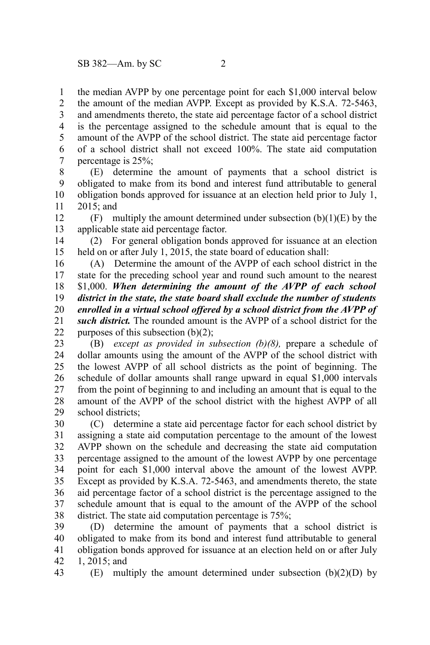the median AVPP by one percentage point for each \$1,000 interval below the amount of the median AVPP. Except as provided by K.S.A. 72-5463, and amendments thereto, the state aid percentage factor of a school district is the percentage assigned to the schedule amount that is equal to the amount of the AVPP of the school district. The state aid percentage factor of a school district shall not exceed 100%. The state aid computation percentage is 25%; 1 2 3 4 5 6 7

(E) determine the amount of payments that a school district is obligated to make from its bond and interest fund attributable to general obligation bonds approved for issuance at an election held prior to July 1, 2015; and 8 9 10 11

(F) multiply the amount determined under subsection  $(b)(1)(E)$  by the applicable state aid percentage factor. 12 13

(2) For general obligation bonds approved for issuance at an election held on or after July 1, 2015, the state board of education shall: 14 15

(A) Determine the amount of the AVPP of each school district in the state for the preceding school year and round such amount to the nearest \$1,000. *When determining the amount of the AVPP of each school district in the state, the state board shall exclude the number of students enrolled in a virtual school offered by a school district from the AVPP of such district.* The rounded amount is the AVPP of a school district for the purposes of this subsection (b)(2); 16 17 18 19 20 21 22

(B) *except as provided in subsection (b)(8),* prepare a schedule of dollar amounts using the amount of the AVPP of the school district with the lowest AVPP of all school districts as the point of beginning. The schedule of dollar amounts shall range upward in equal \$1,000 intervals from the point of beginning to and including an amount that is equal to the amount of the AVPP of the school district with the highest AVPP of all school districts; 23 24 25 26 27 28 29

(C) determine a state aid percentage factor for each school district by assigning a state aid computation percentage to the amount of the lowest AVPP shown on the schedule and decreasing the state aid computation percentage assigned to the amount of the lowest AVPP by one percentage point for each \$1,000 interval above the amount of the lowest AVPP. Except as provided by K.S.A. 72-5463, and amendments thereto, the state aid percentage factor of a school district is the percentage assigned to the schedule amount that is equal to the amount of the AVPP of the school district. The state aid computation percentage is 75%; 30 31 32 33 34 35 36 37 38

(D) determine the amount of payments that a school district is obligated to make from its bond and interest fund attributable to general obligation bonds approved for issuance at an election held on or after July 1, 2015; and 39 40 41 42

 $(E)$  multiply the amount determined under subsection  $(b)(2)(D)$  by 43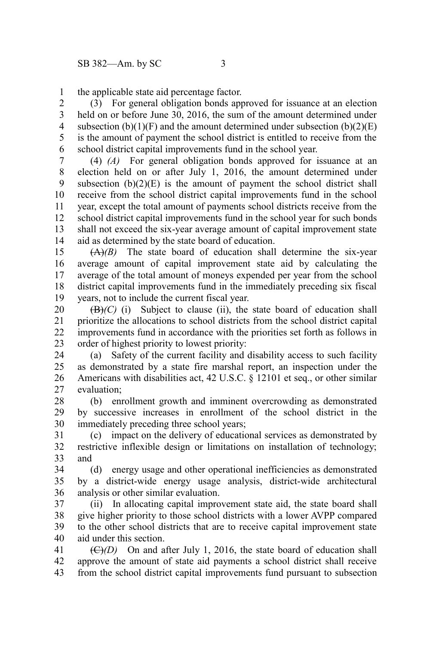the applicable state aid percentage factor. 1

(3) For general obligation bonds approved for issuance at an election held on or before June 30, 2016, the sum of the amount determined under subsection  $(b)(1)(F)$  and the amount determined under subsection  $(b)(2)(E)$ is the amount of payment the school district is entitled to receive from the school district capital improvements fund in the school year. 2 3 4 5 6

(4) *(A)* For general obligation bonds approved for issuance at an election held on or after July 1, 2016, the amount determined under subsection  $(b)(2)(E)$  is the amount of payment the school district shall receive from the school district capital improvements fund in the school year, except the total amount of payments school districts receive from the school district capital improvements fund in the school year for such bonds shall not exceed the six-year average amount of capital improvement state aid as determined by the state board of education. 7 8 9 10 11 12 13 14

(A)*(B)* The state board of education shall determine the six-year average amount of capital improvement state aid by calculating the average of the total amount of moneys expended per year from the school district capital improvements fund in the immediately preceding six fiscal years, not to include the current fiscal year. 15 16 17 18 19

 $(\mathbf{B})/(\mathbf{C})$  (i) Subject to clause (ii), the state board of education shall prioritize the allocations to school districts from the school district capital improvements fund in accordance with the priorities set forth as follows in order of highest priority to lowest priority: 20 21 22 23

(a) Safety of the current facility and disability access to such facility as demonstrated by a state fire marshal report, an inspection under the Americans with disabilities act, 42 U.S.C. § 12101 et seq., or other similar evaluation; 24 25 26 27

(b) enrollment growth and imminent overcrowding as demonstrated by successive increases in enrollment of the school district in the immediately preceding three school years; 28 29 30

(c) impact on the delivery of educational services as demonstrated by restrictive inflexible design or limitations on installation of technology; and 31 32 33

(d) energy usage and other operational inefficiencies as demonstrated by a district-wide energy usage analysis, district-wide architectural analysis or other similar evaluation. 34 35 36

(ii) In allocating capital improvement state aid, the state board shall give higher priority to those school districts with a lower AVPP compared to the other school districts that are to receive capital improvement state aid under this section. 37 38 39 40

 $(\bigoplus)(D)$  On and after July 1, 2016, the state board of education shall approve the amount of state aid payments a school district shall receive from the school district capital improvements fund pursuant to subsection 41 42 43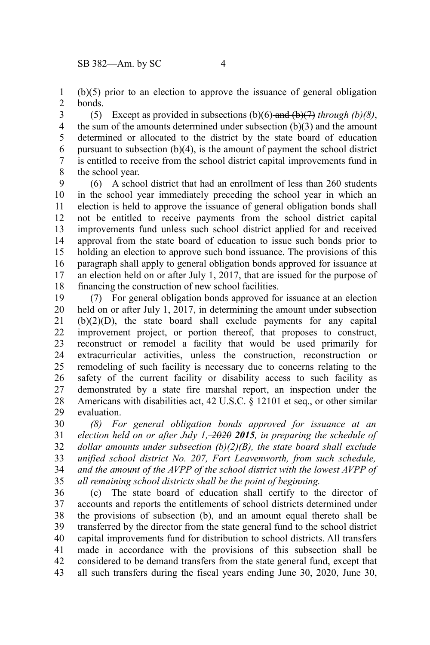(b)(5) prior to an election to approve the issuance of general obligation bonds. 1 2

(5) Except as provided in subsections  $(b)(6)$ -and  $(b)(7)$  through  $(b)(8)$ , the sum of the amounts determined under subsection (b)(3) and the amount determined or allocated to the district by the state board of education pursuant to subsection (b)(4), is the amount of payment the school district is entitled to receive from the school district capital improvements fund in the school year. 3 4 5 6 7 8

(6) A school district that had an enrollment of less than 260 students in the school year immediately preceding the school year in which an election is held to approve the issuance of general obligation bonds shall not be entitled to receive payments from the school district capital improvements fund unless such school district applied for and received approval from the state board of education to issue such bonds prior to holding an election to approve such bond issuance. The provisions of this paragraph shall apply to general obligation bonds approved for issuance at an election held on or after July 1, 2017, that are issued for the purpose of financing the construction of new school facilities. 9 10 11 12 13 14 15 16 17 18

(7) For general obligation bonds approved for issuance at an election held on or after July 1, 2017, in determining the amount under subsection (b)(2)(D), the state board shall exclude payments for any capital improvement project, or portion thereof, that proposes to construct, reconstruct or remodel a facility that would be used primarily for extracurricular activities, unless the construction, reconstruction or remodeling of such facility is necessary due to concerns relating to the safety of the current facility or disability access to such facility as demonstrated by a state fire marshal report, an inspection under the Americans with disabilities act, 42 U.S.C. § 12101 et seq., or other similar evaluation. 19 20 21 22 23 24 25 26 27 28 29

*(8) For general obligation bonds approved for issuance at an election held on or after July 1, 2020 2015, in preparing the schedule of dollar amounts under subsection (b)(2)(B), the state board shall exclude unified school district No. 207, Fort Leavenworth, from such schedule, and the amount of the AVPP of the school district with the lowest AVPP of all remaining school districts shall be the point of beginning.* 30 31 32 33 34 35

(c) The state board of education shall certify to the director of accounts and reports the entitlements of school districts determined under the provisions of subsection (b), and an amount equal thereto shall be transferred by the director from the state general fund to the school district capital improvements fund for distribution to school districts. All transfers made in accordance with the provisions of this subsection shall be considered to be demand transfers from the state general fund, except that all such transfers during the fiscal years ending June 30, 2020, June 30, 36 37 38 39 40 41 42 43